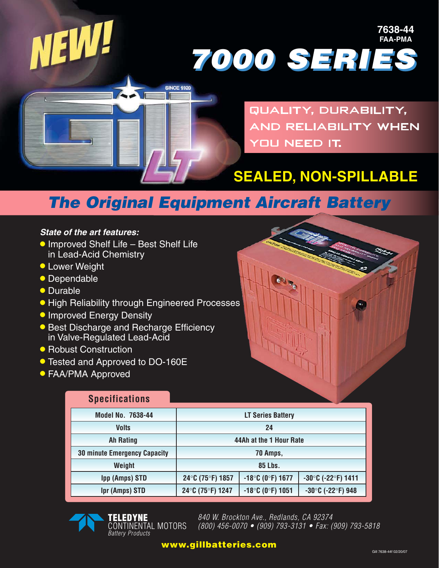

#### *State of the art features:*

- •Improved Shelf Life Best Shelf Life in Lead-Acid Chemistry
- **Lower Weight**
- Dependable
- Durable
- High Reliability through Engineered Processes
- **Improved Energy Density**
- **Best Discharge and Recharge Efficiency** in Valve-Regulated Lead-Acid
- Robust Construction
- Tested and Approved to DO-160E
- FAA/PMA Approved

### **Specifications**

| Model No. 7638-44                   | <b>LT Series Battery</b> |                     |                                         |
|-------------------------------------|--------------------------|---------------------|-----------------------------------------|
| <b>Volts</b>                        | 24                       |                     |                                         |
| <b>Ah Rating</b>                    | 44Ah at the 1 Hour Rate  |                     |                                         |
| <b>30 minute Emergency Capacity</b> | 70 Amps,                 |                     |                                         |
| Weight                              | 85 Lbs.                  |                     |                                         |
| <b>Ipp (Amps) STD</b>               | 24°C (75°F) 1857         | $-18$ °C (0°F) 1677 | $-30^{\circ}$ C (-22 $^{\circ}$ F) 1411 |
| <b>Ipr (Amps) STD</b>               | 24°C (75°F) 1247         | $-18$ °C (0°F) 1051 | $-30^{\circ}$ C (-22 $^{\circ}$ F) 948  |



**TELEDYNE** CONTINENTAL MOTORS **Battery Products** 

840 W. Brockton Ave., Redlands, CA 92374 (800) 456-0070 • (909) 793-3131 • Fax: (909) 793-5818

#### **www.gillbatteries.com**

**7638-44 FAA-PMA**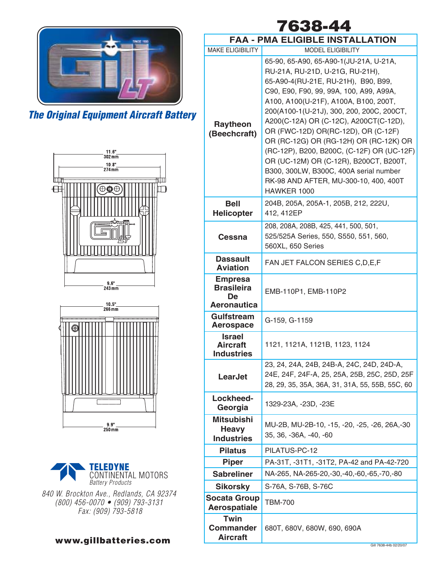







840 W. Brockton Ave., Redlands, CA 92374 (800) 456-0070 • (909) 793-3131 Fax: (909) 793-5818

#### **FAA - PMA ELIGIBLE INSTALLATION 7638-44**

|                                                                 | MA ELIGIDLE INSTALLATION                                                                                                                                                                                                                                                                                                                                                                                                                                                                                                                                               |  |
|-----------------------------------------------------------------|------------------------------------------------------------------------------------------------------------------------------------------------------------------------------------------------------------------------------------------------------------------------------------------------------------------------------------------------------------------------------------------------------------------------------------------------------------------------------------------------------------------------------------------------------------------------|--|
| <b>MAKE ELIGIBILITY</b>                                         | <b>MODEL ELIGIBILITY</b>                                                                                                                                                                                                                                                                                                                                                                                                                                                                                                                                               |  |
| <b>Raytheon</b><br>(Beechcraft)                                 | 65-90, 65-A90, 65-A90-1(JU-21A, U-21A,<br>RU-21A, RU-21D, U-21G, RU-21H),<br>65-A90-4(RU-21E, RU-21H), B90, B99,<br>C90, E90, F90, 99, 99A, 100, A99, A99A,<br>A100, A100(U-21F), A100A, B100, 200T,<br>200(A100-1(U-21J), 300, 200, 200C, 200CT,<br>A200(C-12A) OR (C-12C), A200CT(C-12D),<br>OR (FWC-12D) OR(RC-12D), OR (C-12F)<br>OR (RC-12G) OR (RG-12H) OR (RC-12K) OR<br>(RC-12P), B200, B200C, (C-12F) OR (UC-12F)<br>OR (UC-12M) OR (C-12R), B200CT, B200T,<br>B300, 300LW, B300C, 400A serial number<br>RK-98 AND AFTER, MU-300-10, 400, 400T<br>HAWKER 1000 |  |
| <b>Bell</b><br><b>Helicopter</b>                                | 204B, 205A, 205A-1, 205B, 212, 222U,<br>412, 412EP                                                                                                                                                                                                                                                                                                                                                                                                                                                                                                                     |  |
| Cessna                                                          | 208, 208A, 208B, 425, 441, 500, 501,<br>525/525A Series, 550, S550, 551, 560,<br>560XL, 650 Series                                                                                                                                                                                                                                                                                                                                                                                                                                                                     |  |
| <b>Dassault</b><br><b>Aviation</b>                              | FAN JET FALCON SERIES C, D, E, F                                                                                                                                                                                                                                                                                                                                                                                                                                                                                                                                       |  |
| <b>Empresa</b><br><b>Brasileira</b><br>De<br><b>Aeronautica</b> | EMB-110P1, EMB-110P2                                                                                                                                                                                                                                                                                                                                                                                                                                                                                                                                                   |  |
| <b>Gulfstream</b><br><b>Aerospace</b>                           | G-159, G-1159                                                                                                                                                                                                                                                                                                                                                                                                                                                                                                                                                          |  |
| <b>Israel</b><br><b>Aircraft</b><br><b>Industries</b>           | 1121, 1121A, 1121B, 1123, 1124                                                                                                                                                                                                                                                                                                                                                                                                                                                                                                                                         |  |
| LearJet                                                         | 23, 24, 24A, 24B, 24B-A, 24C, 24D, 24D-A,<br>24E, 24F, 24F-A, 25, 25A, 25B, 25C, 25D, 25F<br>28, 29, 35, 35A, 36A, 31, 31A, 55, 55B, 55C, 60                                                                                                                                                                                                                                                                                                                                                                                                                           |  |
| Lockheed-<br>Georgia                                            | 1329-23A, -23D, -23E                                                                                                                                                                                                                                                                                                                                                                                                                                                                                                                                                   |  |
| <b>Mitsubishi</b><br><b>Heavy</b><br><b>Industries</b>          | MU-2B, MU-2B-10, -15, -20, -25, -26, 26A, -30<br>35, 36, -36A, -40, -60                                                                                                                                                                                                                                                                                                                                                                                                                                                                                                |  |
| <b>Pilatus</b>                                                  | PILATUS-PC-12                                                                                                                                                                                                                                                                                                                                                                                                                                                                                                                                                          |  |
| <b>Piper</b>                                                    | PA-31T, -31T1, -31T2, PA-42 and PA-42-720                                                                                                                                                                                                                                                                                                                                                                                                                                                                                                                              |  |
| <b>Sabreliner</b>                                               | NA-265, NA-265-20,-30,-40,-60,-65,-70,-80                                                                                                                                                                                                                                                                                                                                                                                                                                                                                                                              |  |
| <b>Sikorsky</b>                                                 | S-76A, S-76B, S-76C                                                                                                                                                                                                                                                                                                                                                                                                                                                                                                                                                    |  |
| <b>Socata Group</b><br><b>Aerospatiale</b>                      | <b>TBM-700</b>                                                                                                                                                                                                                                                                                                                                                                                                                                                                                                                                                         |  |
| <b>Twin</b><br><b>Commander</b><br><b>Aircraft</b>              | 680T, 680V, 680W, 690, 690A                                                                                                                                                                                                                                                                                                                                                                                                                                                                                                                                            |  |

**www.gillbatteries.com** Aircraft **Gill 2008 22007** Gill 7638-44b 02/20/07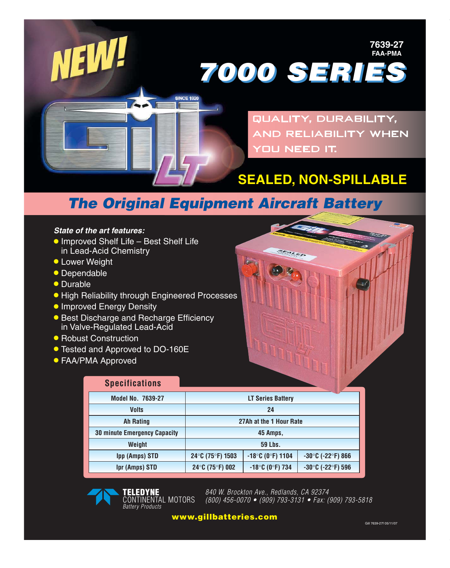

#### *State of the art features:*

- **Improved Shelf Life Best Shelf Life** in Lead-Acid Chemistry
- **Lower Weight**
- Dependable
- Durable
- High Reliability through Engineered Processes
- **Improved Energy Density**
- **Best Discharge and Recharge Efficiency** in Valve-Regulated Lead-Acid
- Robust Construction
- Tested and Approved to DO-160E
- FAA/PMA Approved

## **Specifications**

| <b>Model No. 7639-27</b>            | <b>LT Series Battery</b> |                     |                                        |
|-------------------------------------|--------------------------|---------------------|----------------------------------------|
| <b>Volts</b>                        | 24                       |                     |                                        |
| <b>Ah Rating</b>                    | 27Ah at the 1 Hour Rate  |                     |                                        |
| <b>30 minute Emergency Capacity</b> | 45 Amps,                 |                     |                                        |
| Weight                              | <b>59 Lbs.</b>           |                     |                                        |
| <b>Ipp (Amps) STD</b>               | 24°C (75°F) 1503         | $-18$ °C (0°F) 1104 | $-30^{\circ}$ C (-22 $^{\circ}$ F) 866 |
| <b>Ipr (Amps) STD</b>               | 24°C (75°F) 002          | $-18$ °C (0°F) 734  | $-30^{\circ}$ C (-22 $^{\circ}$ F) 596 |

**TELEDYNE** CONTINENTAL MOTORS Battery Products

840 W. Brockton Ave., Redlands, CA 92374 (800) 456-0070 • (909) 793-3131 • Fax: (909) 793-5818

**www.gillbatteries.com**

**7639-27 FAA-PMA**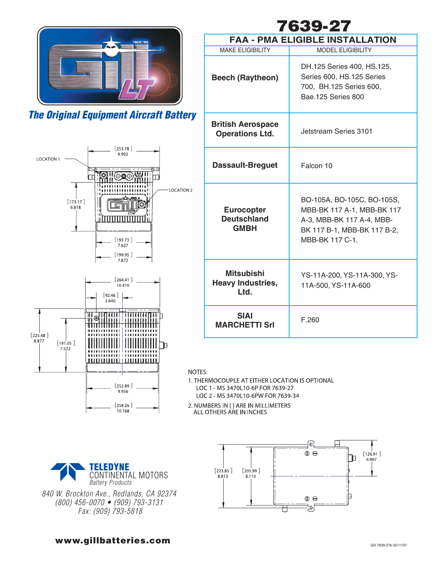



| 7639-27                                                |                                                                                                                                         |  |  |  |
|--------------------------------------------------------|-----------------------------------------------------------------------------------------------------------------------------------------|--|--|--|
| <b>FAA - PMA ELIGIBLE INSTALLATION</b>                 |                                                                                                                                         |  |  |  |
| <b>MAKE ELIGIBILITY</b>                                | <b>MODEL ELIGIBILITY</b>                                                                                                                |  |  |  |
| <b>Beech (Raytheon)</b>                                | DH.125 Series 400, HS.125,<br>Series 600, HS.125 Series<br>700, BH.125 Series 600,<br>Bae.125 Series 800                                |  |  |  |
| <b>British Aerospace</b><br><b>Operations Ltd.</b>     | Jetstream Series 3101                                                                                                                   |  |  |  |
| <b>Dassault-Breguet</b>                                | Falcon 10                                                                                                                               |  |  |  |
| <b>Eurocopter</b><br><b>Deutschland</b><br><b>GMBH</b> | BO-105A, BO-105C, BO-105S,<br>MBB-BK 117 A-1, MBB-BK 117<br>A-3, MBB-BK 117 A-4, MBB-<br>BK 117 B-1, MBB-BK 117 B-2,<br>MBB-BK 117 C-1. |  |  |  |
| <b>Mitsubishi</b><br><b>Heavy Industries,</b><br>Ltd.  | YS-11A-200, YS-11A-300, YS-<br>11A-500, YS-11A-600                                                                                      |  |  |  |
| SIAI<br><b>MARCHETTI Srl</b>                           | F.260                                                                                                                                   |  |  |  |

NOTES:

1. THERMOCOUPLE AT EITHER LOCATION IS OPTIONAL LOC 1 - MS 3470L10-6P FOR 7639-27 LOC 2 - MS 3470L10-6PW FOR 7639-34

2. NUMBERS IN [ ] ARE IN MILLIMETERS<br>ALL OTHERS ARE IN INCHES



840 W. Brockton Ave., Redlands, CA 92374 (800) 456-0070 • (909) 793-3131 Fax: (909) 793-5818



**www.gillbatteries.com** Gill 7639-27b 05/11/07